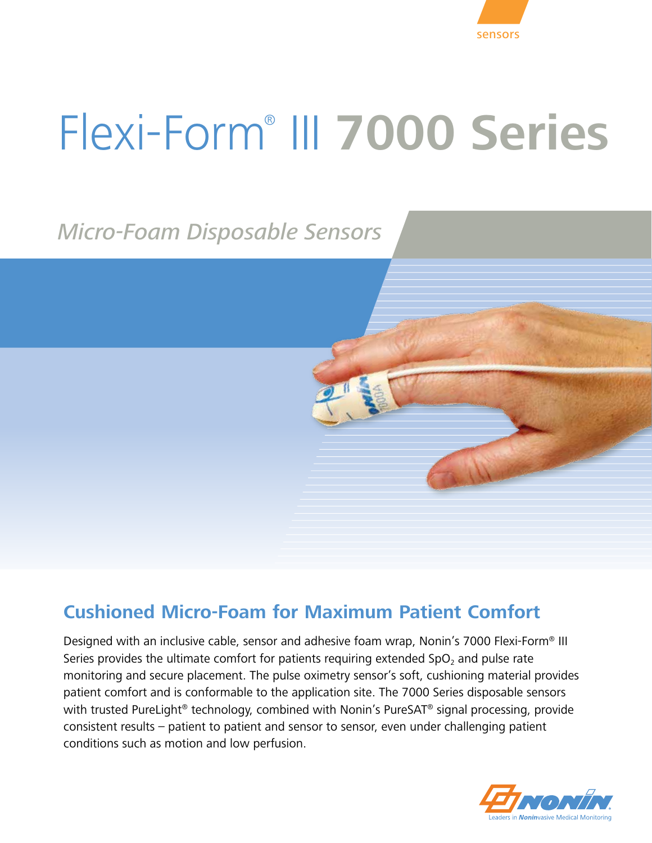

# Flexi-Form® III **7000 Series**

# *Micro-Foam Disposable Sensors*

## **Cushioned Micro-Foam for Maximum Patient Comfort**

Designed with an inclusive cable, sensor and adhesive foam wrap, Nonin's 7000 Flexi-Form® III Series provides the ultimate comfort for patients requiring extended  $SpO<sub>2</sub>$  and pulse rate monitoring and secure placement. The pulse oximetry sensor's soft, cushioning material provides patient comfort and is conformable to the application site. The 7000 Series disposable sensors with trusted PureLight<sup>®</sup> technology, combined with Nonin's PureSAT<sup>®</sup> signal processing, provide consistent results – patient to patient and sensor to sensor, even under challenging patient conditions such as motion and low perfusion.